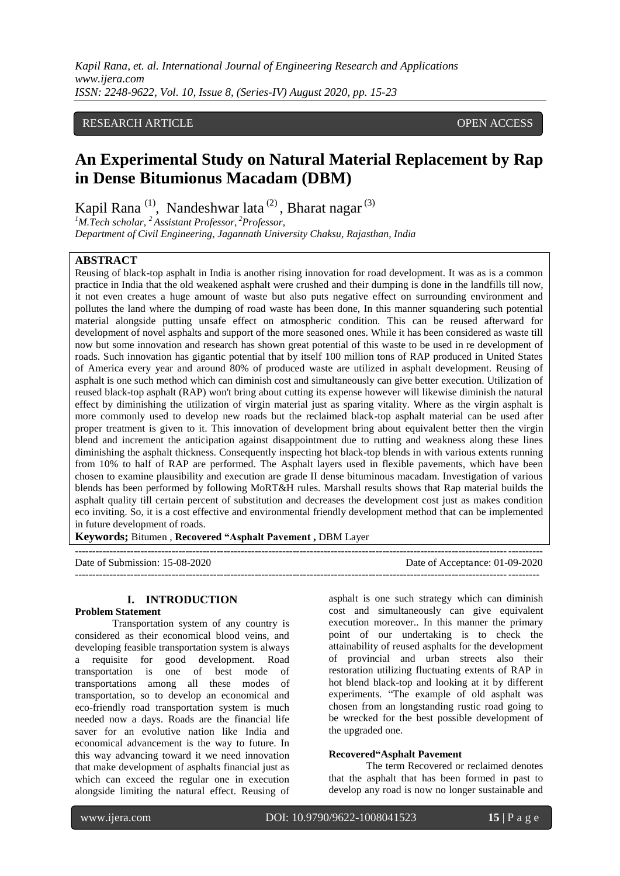## RESEARCH ARTICLE **CONSERVERS** OPEN ACCESS

# **An Experimental Study on Natural Material Replacement by Rap in Dense Bitumionus Macadam (DBM)**

Kapil Rana<sup>(1)</sup>, Nandeshwar lata<sup>(2)</sup>, Bharat nagar<sup>(3)</sup>

*<sup>1</sup>M.Tech scholar, <sup>2</sup>Assistant Professor, <sup>2</sup>Professor,* 

*Department of Civil Engineering, Jagannath University Chaksu, Rajasthan, India*

#### **ABSTRACT**

Reusing of black-top asphalt in India is another rising innovation for road development. It was as is a common practice in India that the old weakened asphalt were crushed and their dumping is done in the landfills till now, it not even creates a huge amount of waste but also puts negative effect on surrounding environment and pollutes the land where the dumping of road waste has been done, In this manner squandering such potential material alongside putting unsafe effect on atmospheric condition. This can be reused afterward for development of novel asphalts and support of the more seasoned ones. While it has been considered as waste till now but some innovation and research has shown great potential of this waste to be used in re development of roads. Such innovation has gigantic potential that by itself 100 million tons of RAP produced in United States of America every year and around 80% of produced waste are utilized in asphalt development. Reusing of asphalt is one such method which can diminish cost and simultaneously can give better execution. Utilization of reused black-top asphalt (RAP) won't bring about cutting its expense however will likewise diminish the natural effect by diminishing the utilization of virgin material just as sparing vitality. Where as the virgin asphalt is more commonly used to develop new roads but the reclaimed black-top asphalt material can be used after proper treatment is given to it. This innovation of development bring about equivalent better then the virgin blend and increment the anticipation against disappointment due to rutting and weakness along these lines diminishing the asphalt thickness. Consequently inspecting hot black-top blends in with various extents running from 10% to half of RAP are performed. The Asphalt layers used in flexible pavements, which have been chosen to examine plausibility and execution are grade II dense bituminous macadam. Investigation of various blends has been performed by following MoRT&H rules. Marshall results shows that Rap material builds the asphalt quality till certain percent of substitution and decreases the development cost just as makes condition eco inviting. So, it is a cost effective and environmental friendly development method that can be implemented in future development of roads.

**Keywords;** Bitumen , **Recovered "Asphalt Pavement ,** DBM Layer

| Date of Submission: 15-08-2020 | Date of Acceptance: 01-09-2020 |
|--------------------------------|--------------------------------|
|                                |                                |

# **I. INTRODUCTION**

#### **Problem Statement**

Transportation system of any country is considered as their economical blood veins, and developing feasible transportation system is always a requisite for good development. Road transportation is one of best mode of transportations among all these modes of transportation, so to develop an economical and eco-friendly road transportation system is much needed now a days. Roads are the financial life saver for an evolutive nation like India and economical advancement is the way to future. In this way advancing toward it we need innovation that make development of asphalts financial just as which can exceed the regular one in execution alongside limiting the natural effect. Reusing of asphalt is one such strategy which can diminish cost and simultaneously can give equivalent execution moreover.. In this manner the primary point of our undertaking is to check the attainability of reused asphalts for the development of provincial and urban streets also their restoration utilizing fluctuating extents of RAP in hot blend black-top and looking at it by different experiments. "The example of old asphalt was chosen from an longstanding rustic road going to be wrecked for the best possible development of the upgraded one.

#### **Recovered"Asphalt Pavement**

The term Recovered or reclaimed denotes that the asphalt that has been formed in past to develop any road is now no longer sustainable and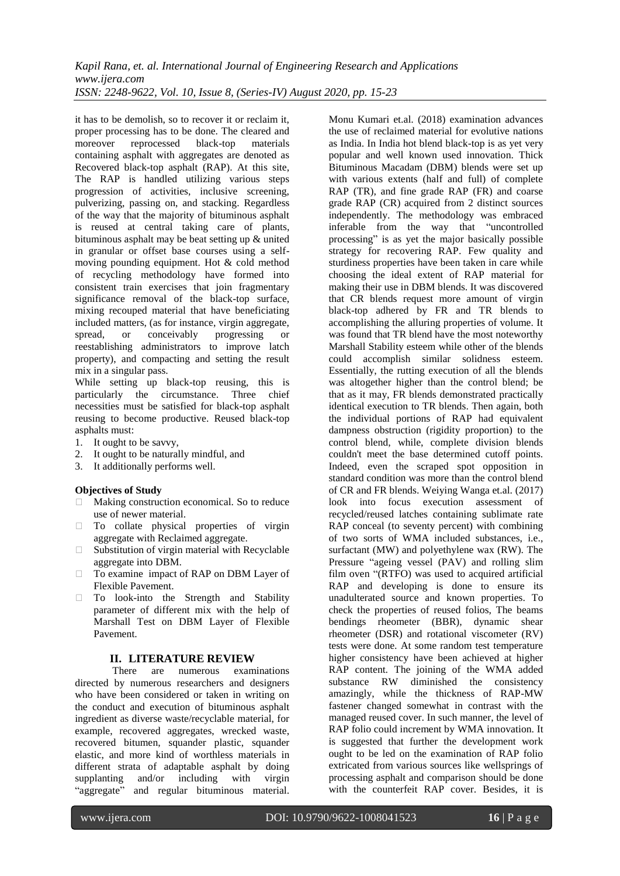it has to be demolish, so to recover it or reclaim it, proper processing has to be done. The cleared and<br>moreover reprocessed black-top materials reprocessed black-top materials containing asphalt with aggregates are denoted as Recovered black-top asphalt (RAP). At this site, The RAP is handled utilizing various steps progression of activities, inclusive screening, pulverizing, passing on, and stacking. Regardless of the way that the majority of bituminous asphalt is reused at central taking care of plants, bituminous asphalt may be beat setting up & united in granular or offset base courses using a selfmoving pounding equipment. Hot & cold method of recycling methodology have formed into consistent train exercises that join fragmentary significance removal of the black-top surface, mixing recouped material that have beneficiating included matters, (as for instance, virgin aggregate, spread, or conceivably progressing or spread, or conceivably progressing or reestablishing administrators to improve latch property), and compacting and setting the result mix in a singular pass.

While setting up black-top reusing, this is particularly the circumstance. Three chief necessities must be satisfied for black-top asphalt reusing to become productive. Reused black-top asphalts must:

- 1. It ought to be savvy,
- 2. It ought to be naturally mindful, and
- 3. It additionally performs well.

#### **Objectives of Study**

- □ Making construction economical. So to reduce use of newer material.
- To collate physical properties of virgin aggregate with Reclaimed aggregate.
- $\square$  Substitution of virgin material with Recyclable aggregate into DBM.
- □ To examine impact of RAP on DBM Layer of Flexible Pavement.
- To look-into the Strength and Stability parameter of different mix with the help of Marshall Test on DBM Layer of Flexible Pavement.

### **II. LITERATURE REVIEW**

There are numerous examinations directed by numerous researchers and designers who have been considered or taken in writing on the conduct and execution of bituminous asphalt ingredient as diverse waste/recyclable material, for example, recovered aggregates, wrecked waste, recovered bitumen, squander plastic, squander elastic, and more kind of worthless materials in different strata of adaptable asphalt by doing supplanting and/or including with virgin "aggregate" and regular bituminous material.

Monu Kumari et.al. (2018) examination advances the use of reclaimed material for evolutive nations as India. In India hot blend black-top is as yet very popular and well known used innovation. Thick Bituminous Macadam (DBM) blends were set up with various extents (half and full) of complete RAP (TR), and fine grade RAP (FR) and coarse grade RAP (CR) acquired from 2 distinct sources independently. The methodology was embraced inferable from the way that "uncontrolled processing" is as yet the major basically possible strategy for recovering RAP. Few quality and sturdiness properties have been taken in care while choosing the ideal extent of RAP material for making their use in DBM blends. It was discovered that CR blends request more amount of virgin black-top adhered by FR and TR blends to accomplishing the alluring properties of volume. It was found that TR blend have the most noteworthy Marshall Stability esteem while other of the blends could accomplish similar solidness esteem. Essentially, the rutting execution of all the blends was altogether higher than the control blend; be that as it may, FR blends demonstrated practically identical execution to TR blends. Then again, both the individual portions of RAP had equivalent dampness obstruction (rigidity proportion) to the control blend, while, complete division blends couldn't meet the base determined cutoff points. Indeed, even the scraped spot opposition in standard condition was more than the control blend of CR and FR blends. Weiying Wanga et.al. (2017) look into focus execution assessment of recycled/reused latches containing sublimate rate RAP conceal (to seventy percent) with combining of two sorts of WMA included substances, i.e., surfactant (MW) and polyethylene wax (RW). The Pressure "ageing vessel (PAV) and rolling slim film oven "(RTFO) was used to acquired artificial RAP and developing is done to ensure its unadulterated source and known properties. To check the properties of reused folios, The beams bendings rheometer (BBR), dynamic shear rheometer (DSR) and rotational viscometer (RV) tests were done. At some random test temperature higher consistency have been achieved at higher RAP content. The joining of the WMA added substance RW diminished the consistency amazingly, while the thickness of RAP-MW fastener changed somewhat in contrast with the managed reused cover. In such manner, the level of RAP folio could increment by WMA innovation. It is suggested that further the development work ought to be led on the examination of RAP folio extricated from various sources like wellsprings of processing asphalt and comparison should be done with the counterfeit RAP cover. Besides, it is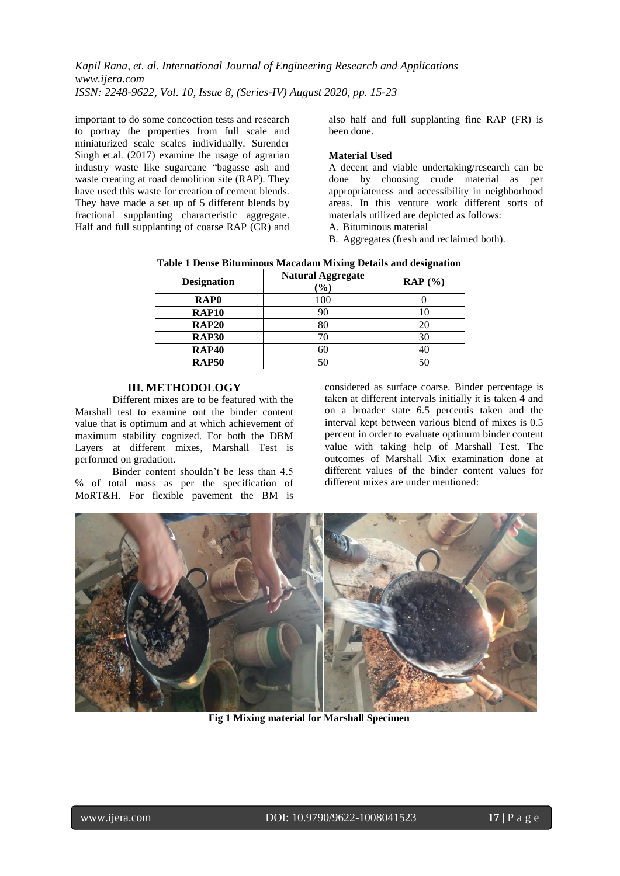important to do some concoction tests and research to portray the properties from full scale and miniaturized scale scales individually. Surender Singh et.al. (2017) examine the usage of agrarian industry waste like sugarcane "bagasse ash and waste creating at road demolition site (RAP). They have used this waste for creation of cement blends. They have made a set up of 5 different blends by fractional supplanting characteristic aggregate. Half and full supplanting of coarse RAP (CR) and

also half and full supplanting fine RAP (FR) is been done.

### **Material Used**

A decent and viable undertaking/research can be done by choosing crude material as per appropriateness and accessibility in neighborhood areas. In this venture work different sorts of materials utilized are depicted as follows:

- A. Bituminous material
- B. Aggregates (fresh and reclaimed both).

| <b>Table 1 Dense Bituminous Macadam Mixing Details and designation</b> |                         |
|------------------------------------------------------------------------|-------------------------|
| <b>Natural Aggregate</b>                                               | $\mathbf{m}$ in $(0,1)$ |

| <b>Designation</b> | <b>Natural Aggregate</b><br>$\mathcal{O}(6)$ | $\mathbf{RAP}$ (%) |
|--------------------|----------------------------------------------|--------------------|
| RAP <sub>0</sub>   | 100                                          |                    |
| <b>RAP10</b>       | 90                                           | 10                 |
| <b>RAP20</b>       | 80                                           | 20                 |
| <b>RAP30</b>       | 70                                           | 30                 |
| <b>RAP40</b>       | 60                                           | 40                 |
| <b>RAP50</b>       | 50                                           | 50                 |

#### **III. METHODOLOGY**

Different mixes are to be featured with the Marshall test to examine out the binder content value that is optimum and at which achievement of maximum stability cognized. For both the DBM Layers at different mixes, Marshall Test is performed on gradation.

Binder content shouldn't be less than 4.5 % of total mass as per the specification of MoRT&H. For flexible pavement the BM is

considered as surface coarse. Binder percentage is taken at different intervals initially it is taken 4 and on a broader state 6.5 percentis taken and the interval kept between various blend of mixes is 0.5 percent in order to evaluate optimum binder content value with taking help of Marshall Test. The outcomes of Marshall Mix examination done at different values of the binder content values for different mixes are under mentioned:



**Fig 1 Mixing material for Marshall Specimen**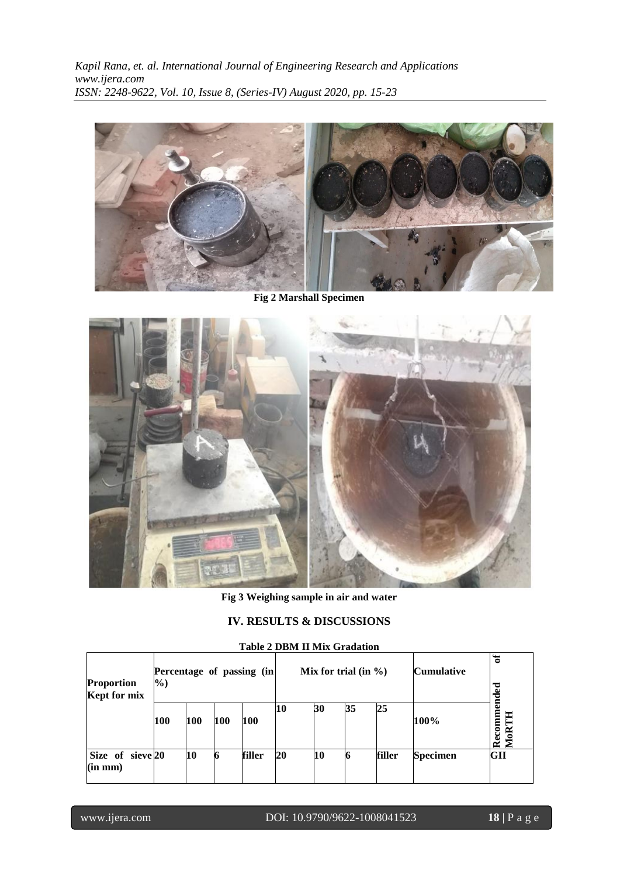

**Fig 2 Marshall Specimen**



**Fig 3 Weighing sample in air and water**

# **IV. RESULTS & DISCUSSIONS**

| Percentage of passing (in<br><b>Proportion</b><br>$\frac{6}{2}$<br>Kept for mix |     |     |     |        |    | Mix for trial (in $\%$ ) |    |        | <b>Cumulative</b> | ð<br>ಕ<br>ರ             |
|---------------------------------------------------------------------------------|-----|-----|-----|--------|----|--------------------------|----|--------|-------------------|-------------------------|
|                                                                                 | 100 | 100 | 100 | 100    | 10 | 30                       | 35 | 25     | 100%              | <b>Recomme</b><br>MoRTH |
| Size of sieve 20<br>(in mm)                                                     |     | 10  | 6   | filler | 20 | 10                       |    | filler | <b>Specimen</b>   | GII                     |

# **Table 2 DBM II Mix Gradation**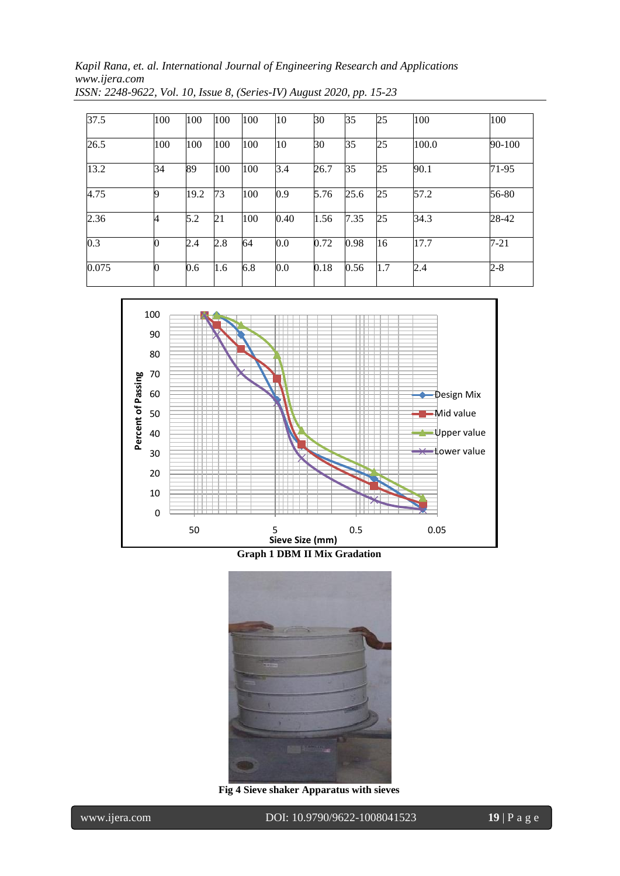| 37.5  | 100 | 100  | 100 | 100 | 10      | 30   | 35   | 25  | 100   | 100      |
|-------|-----|------|-----|-----|---------|------|------|-----|-------|----------|
| 26.5  | 100 | 100  | 100 | 100 | 10      | 30   | 35   | 25  | 100.0 | 90-100   |
| 13.2  | 34  | 89   | 100 | 100 | 3.4     | 26.7 | 35   | 25  | 90.1  | 71-95    |
| 4.75  | 9   | 19.2 | 73  | 100 | 0.9     | 5.76 | 25.6 | 25  | 57.2  | 56-80    |
| 2.36  | 4   | 5.2  | 21  | 100 | 0.40    | 1.56 | 7.35 | 25  | 34.3  | 28-42    |
| 0.3   |     | 2.4  | 2.8 | 64  | 0.0     | 0.72 | 0.98 | 16  | 17.7  | $7 - 21$ |
| 0.075 |     | 0.6  | 1.6 | 6.8 | $0.0\,$ | 0.18 | 0.56 | 1.7 | 2.4   | 2-8      |



**Graph 1 DBM II Mix Gradation**



**Fig 4 Sieve shaker Apparatus with sieves**

www.ijera.com DOI: 10.9790/9622-1008041523 **19** | P a g e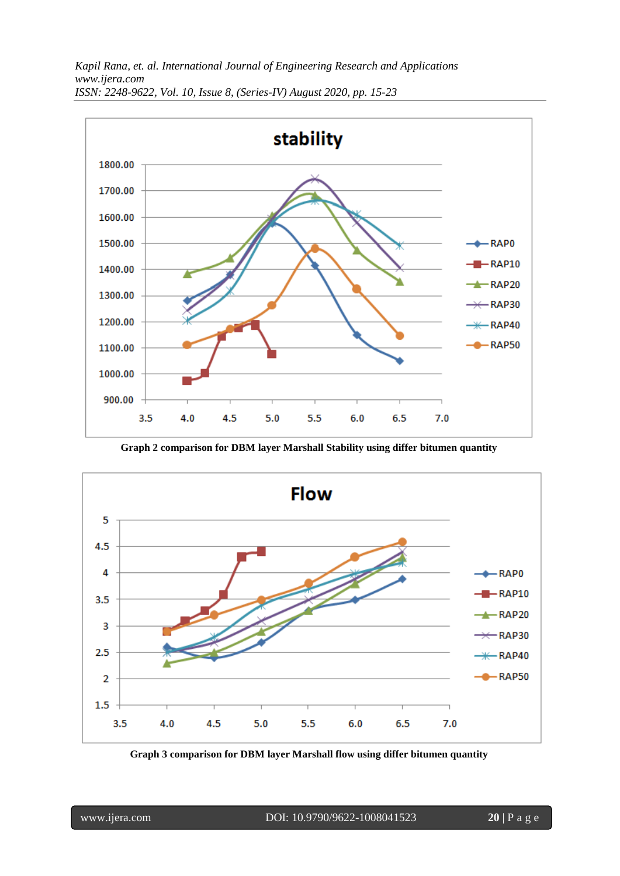

**Graph 2 comparison for DBM layer Marshall Stability using differ bitumen quantity**



**Graph 3 comparison for DBM layer Marshall flow using differ bitumen quantity**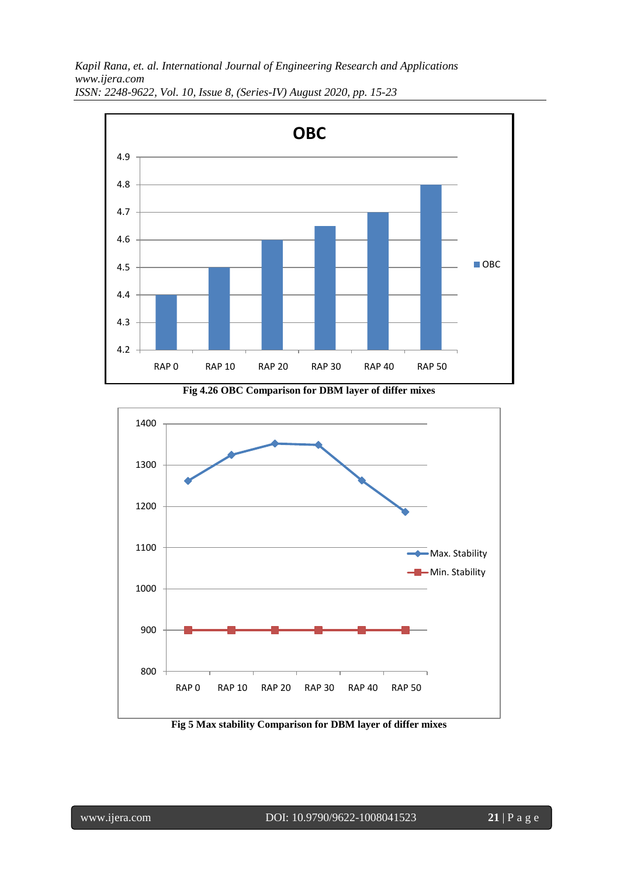*Kapil Rana, et. al. International Journal of Engineering Research and Applications www.ijera.com*



*ISSN: 2248-9622, Vol. 10, Issue 8, (Series-IV) August 2020, pp. 15-23*



**Fig 4.26 OBC Comparison for DBM layer of differ mixes**

**Fig 5 Max stability Comparison for DBM layer of differ mixes**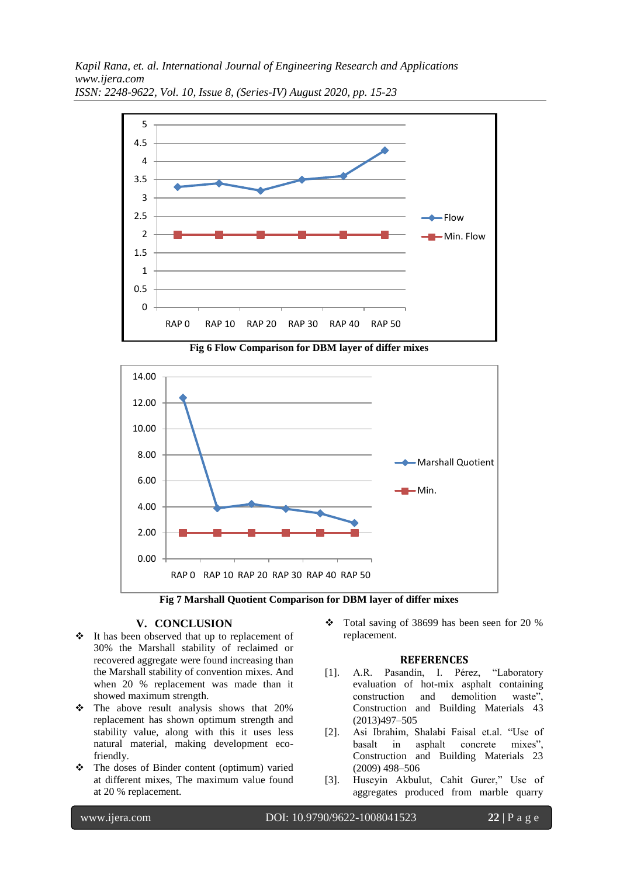

**Fig 6 Flow Comparison for DBM layer of differ mixes**





#### **V. CONCLUSION**

- It has been observed that up to replacement of 30% the Marshall stability of reclaimed or recovered aggregate were found increasing than the Marshall stability of convention mixes. And when 20 % replacement was made than it showed maximum strength.
- \* The above result analysis shows that 20% replacement has shown optimum strength and stability value, along with this it uses less natural material, making development ecofriendly.
- The doses of Binder content (optimum) varied at different mixes, The maximum value found at 20 % replacement.

 Total saving of 38699 has been seen for 20 % replacement.

#### **REFERENCES**

- [1]. A.R. Pasandín, I. Pérez, "Laboratory evaluation of hot-mix asphalt containing construction and demolition waste", Construction and Building Materials 43 (2013)497–505
- [2]. Asi Ibrahim, Shalabi Faisal et.al. "Use of basalt in asphalt concrete mixes", Construction and Building Materials 23 (2009) 498–506
- [3]. Huseyin Akbulut, Cahit Gurer," Use of aggregates produced from marble quarry